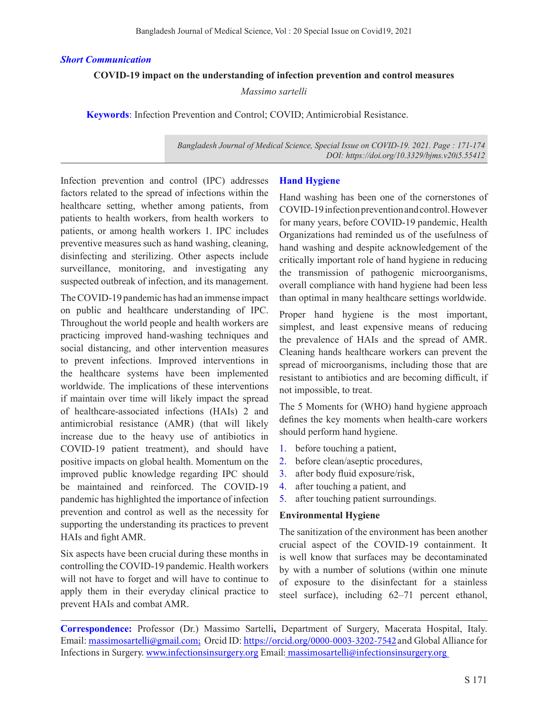#### *Short Communication*

#### **COVID-19 impact on the understanding of infection prevention and control measures**

*Massimo sartelli*

**Keywords**: Infection Prevention and Control; COVID; Antimicrobial Resistance.

*Bangladesh Journal of Medical Science, Special Issue on COVID-19. 2021. Page : 171-174 DOI: https://doi.org/10.3329/bjms.v20i5.55412* 

Infection prevention and control (IPC) addresses factors related to the spread of infections within the healthcare setting, whether among patients, from patients to health workers, from health workers to patients, or among health workers 1. IPC includes preventive measures such as hand washing, cleaning, disinfecting and sterilizing. Other aspects include surveillance, monitoring, and investigating any suspected outbreak of infection, and its management.

The COVID-19 pandemic has had an immense impact on public and healthcare understanding of IPC. Throughout the world people and health workers are practicing improved hand-washing techniques and social distancing, and other intervention measures to prevent infections. Improved interventions in the healthcare systems have been implemented worldwide. The implications of these interventions if maintain over time will likely impact the spread of healthcare-associated infections (HAIs) 2 and antimicrobial resistance (AMR) (that will likely increase due to the heavy use of antibiotics in COVID-19 patient treatment), and should have positive impacts on global health. Momentum on the improved public knowledge regarding IPC should be maintained and reinforced. The COVID-19 pandemic has highlighted the importance of infection prevention and control as well as the necessity for supporting the understanding its practices to prevent HAIs and fight AMR.

Six aspects have been crucial during these months in controlling the COVID-19 pandemic. Health workers will not have to forget and will have to continue to apply them in their everyday clinical practice to prevent HAIs and combat AMR.

### **Hand Hygiene**

Hand washing has been one of the cornerstones of COVID-19 infection prevention and control. However for many years, before COVID-19 pandemic, Health Organizations had reminded us of the usefulness of hand washing and despite acknowledgement of the critically important role of hand hygiene in reducing the transmission of pathogenic microorganisms, overall compliance with hand hygiene had been less than optimal in many healthcare settings worldwide.

Proper hand hygiene is the most important, simplest, and least expensive means of reducing the prevalence of HAIs and the spread of AMR. Cleaning hands healthcare workers can prevent the spread of microorganisms, including those that are resistant to antibiotics and are becoming difficult, if not impossible, to treat.

The 5 Moments for (WHO) hand hygiene approach defines the key moments when health-care workers should perform hand hygiene.

- 1. before touching a patient,
- 2. before clean/aseptic procedures,
- 3. after body fluid exposure/risk,
- 4. after touching a patient, and
- 5. after touching patient surroundings.

### **Environmental Hygiene**

The sanitization of the environment has been another crucial aspect of the COVID-19 containment. It is well know that surfaces may be decontaminated by with a number of solutions (within one minute of exposure to the disinfectant for a stainless steel surface), including 62–71 percent ethanol,

**Correspondence:** Professor (Dr.) Massimo Sartelli**,** Department of Surgery, Macerata Hospital, Italy. Email: massimosartelli@gmail.com; Orcid ID: https://orcid.org/0000-0003-3202-7542 and Global Alliance for Infections in Surgery. www.infectionsinsurgery.org Email: massimosartelli@infectionsinsurgery.org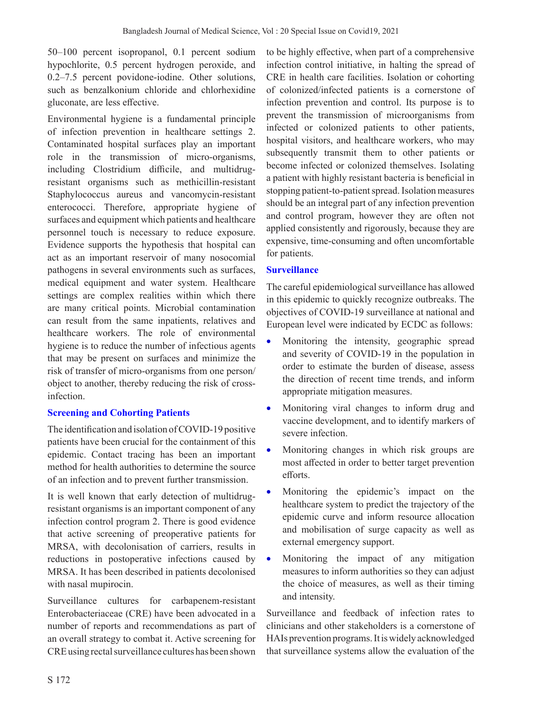50–100 percent isopropanol, 0.1 percent sodium hypochlorite, 0.5 percent hydrogen peroxide, and 0.2–7.5 percent povidone-iodine. Other solutions, such as benzalkonium chloride and chlorhexidine gluconate, are less effective.

Environmental hygiene is a fundamental principle of infection prevention in healthcare settings 2. Contaminated hospital surfaces play an important role in the transmission of micro-organisms, including Clostridium difficile, and multidrugresistant organisms such as methicillin-resistant Staphylococcus aureus and vancomycin-resistant enterococci. Therefore, appropriate hygiene of surfaces and equipment which patients and healthcare personnel touch is necessary to reduce exposure. Evidence supports the hypothesis that hospital can act as an important reservoir of many nosocomial pathogens in several environments such as surfaces, medical equipment and water system. Healthcare settings are complex realities within which there are many critical points. Microbial contamination can result from the same inpatients, relatives and healthcare workers. The role of environmental hygiene is to reduce the number of infectious agents that may be present on surfaces and minimize the risk of transfer of micro-organisms from one person/ object to another, thereby reducing the risk of crossinfection.

# **Screening and Cohorting Patients**

The identification and isolation of COVID-19 positive patients have been crucial for the containment of this epidemic. Contact tracing has been an important method for health authorities to determine the source of an infection and to prevent further transmission.

It is well known that early detection of multidrugresistant organisms is an important component of any infection control program 2. There is good evidence that active screening of preoperative patients for MRSA, with decolonisation of carriers, results in reductions in postoperative infections caused by MRSA. It has been described in patients decolonised with nasal mupirocin.

Surveillance cultures for carbapenem-resistant Enterobacteriaceae (CRE) have been advocated in a number of reports and recommendations as part of an overall strategy to combat it. Active screening for CRE using rectal surveillance cultures has been shown to be highly effective, when part of a comprehensive infection control initiative, in halting the spread of CRE in health care facilities. Isolation or cohorting of colonized/infected patients is a cornerstone of infection prevention and control. Its purpose is to prevent the transmission of microorganisms from infected or colonized patients to other patients, hospital visitors, and healthcare workers, who may subsequently transmit them to other patients or become infected or colonized themselves. Isolating a patient with highly resistant bacteria is beneficial in stopping patient-to-patient spread. Isolation measures should be an integral part of any infection prevention and control program, however they are often not applied consistently and rigorously, because they are expensive, time-consuming and often uncomfortable for patients.

# **Surveillance**

The careful epidemiological surveillance has allowed in this epidemic to quickly recognize outbreaks. The objectives of COVID-19 surveillance at national and European level were indicated by ECDC as follows:

- Monitoring the intensity, geographic spread and severity of COVID-19 in the population in order to estimate the burden of disease, assess the direction of recent time trends, and inform appropriate mitigation measures.
- • Monitoring viral changes to inform drug and vaccine development, and to identify markers of severe infection.
- Monitoring changes in which risk groups are most affected in order to better target prevention efforts.
- Monitoring the epidemic's impact on the healthcare system to predict the trajectory of the epidemic curve and inform resource allocation and mobilisation of surge capacity as well as external emergency support.
- • Monitoring the impact of any mitigation measures to inform authorities so they can adjust the choice of measures, as well as their timing and intensity.

Surveillance and feedback of infection rates to clinicians and other stakeholders is a cornerstone of HAIs prevention programs. It is widely acknowledged that surveillance systems allow the evaluation of the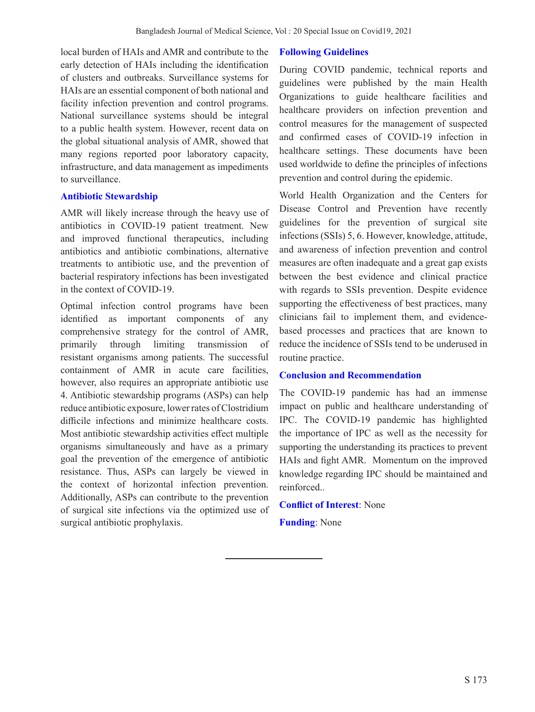local burden of HAIs and AMR and contribute to the early detection of HAIs including the identification of clusters and outbreaks. Surveillance systems for HAIs are an essential component of both national and facility infection prevention and control programs. National surveillance systems should be integral to a public health system. However, recent data on the global situational analysis of AMR, showed that many regions reported poor laboratory capacity, infrastructure, and data management as impediments to surveillance.

### **Antibiotic Stewardship**

AMR will likely increase through the heavy use of antibiotics in COVID-19 patient treatment. New and improved functional therapeutics, including antibiotics and antibiotic combinations, alternative treatments to antibiotic use, and the prevention of bacterial respiratory infections has been investigated in the context of COVID-19.

Optimal infection control programs have been identified as important components of any comprehensive strategy for the control of AMR, primarily through limiting transmission of resistant organisms among patients. The successful containment of AMR in acute care facilities, however, also requires an appropriate antibiotic use 4. Antibiotic stewardship programs (ASPs) can help reduce antibiotic exposure, lower rates of Clostridium difficile infections and minimize healthcare costs. Most antibiotic stewardship activities effect multiple organisms simultaneously and have as a primary goal the prevention of the emergence of antibiotic resistance. Thus, ASPs can largely be viewed in the context of horizontal infection prevention. Additionally, ASPs can contribute to the prevention of surgical site infections via the optimized use of surgical antibiotic prophylaxis.

# **Following Guidelines**

During COVID pandemic, technical reports and guidelines were published by the main Health Organizations to guide healthcare facilities and healthcare providers on infection prevention and control measures for the management of suspected and confirmed cases of COVID-19 infection in healthcare settings. These documents have been used worldwide to define the principles of infections prevention and control during the epidemic.

World Health Organization and the Centers for Disease Control and Prevention have recently guidelines for the prevention of surgical site infections (SSIs) 5, 6. However, knowledge, attitude, and awareness of infection prevention and control measures are often inadequate and a great gap exists between the best evidence and clinical practice with regards to SSIs prevention. Despite evidence supporting the effectiveness of best practices, many clinicians fail to implement them, and evidencebased processes and practices that are known to reduce the incidence of SSIs tend to be underused in routine practice.

# **Conclusion and Recommendation**

The COVID-19 pandemic has had an immense impact on public and healthcare understanding of IPC. The COVID-19 pandemic has highlighted the importance of IPC as well as the necessity for supporting the understanding its practices to prevent HAIs and fight AMR. Momentum on the improved knowledge regarding IPC should be maintained and reinforced..

**Conflict of Interest**: None

**Funding**: None